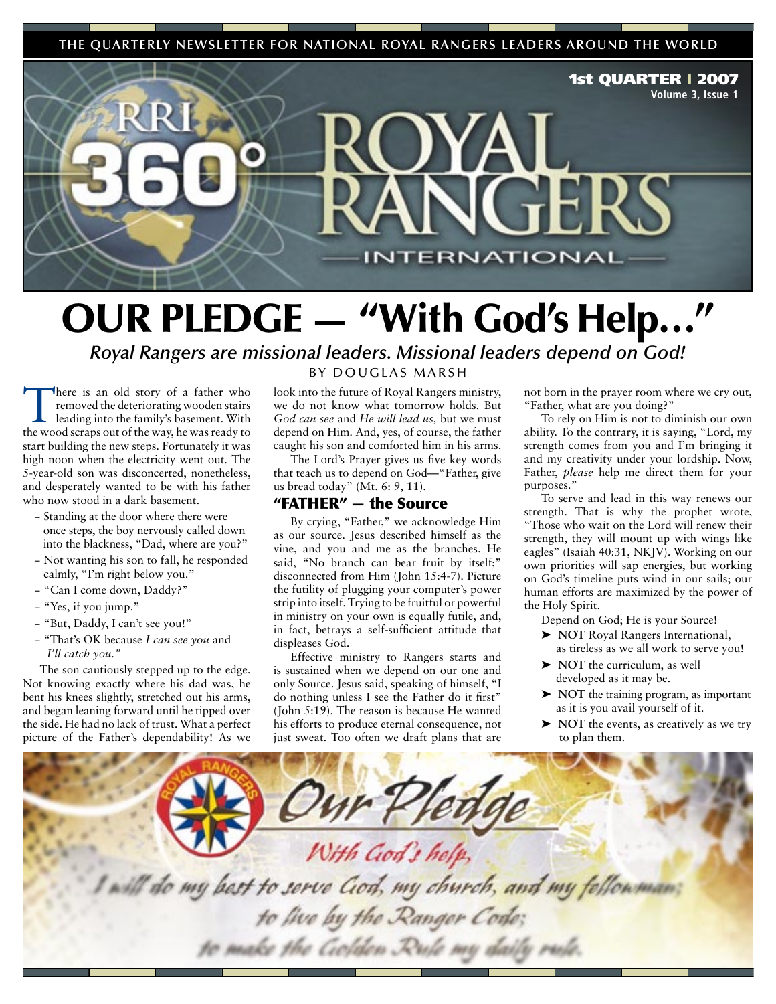**THE QUARTERLY NEWSLETTER FOR NATIONAL ROYAL RANGERS LEADERS AROUND THE WORLD**



## OUR PLEDGE — "With God's Help…"

*Royal Rangers are missional leaders. Missional leaders depend on God!*

There is an old story of a father who removed the deteriorating wooden stairs leading into the family's basement. With the wood scraps out of the way, he was ready to start building the new steps. Fortunately it was high noon when the electricity went out. The 5-year-old son was disconcerted, nonetheless, and desperately wanted to be with his father who now stood in a dark basement.

- − Standing at the door where there were once steps, the boy nervously called down into the blackness, "Dad, where are you?"
- − Not wanting his son to fall, he responded calmly, "I'm right below you."
- − "Can I come down, Daddy?"
- − "Yes, if you jump."
- − "But, Daddy, I can't see you!"
- − "That's OK because *I can see you* and *I'll catch you."*

The son cautiously stepped up to the edge. Not knowing exactly where his dad was, he bent his knees slightly, stretched out his arms, and began leaning forward until he tipped over the side. He had no lack of trust. What a perfect picture of the Father's dependability! As we

### BY DOUGLAS MARSH

look into the future of Royal Rangers ministry, we do not know what tomorrow holds. But *God can see* and *He will lead us,* but we must depend on Him. And, yes, of course, the father caught his son and comforted him in his arms.

The Lord's Prayer gives us five key words that teach us to depend on God—"Father, give us bread today" (Mt. 6: 9, 11).

## "FATHER" — the Source

By crying, "Father," we acknowledge Him as our source. Jesus described himself as the vine, and you and me as the branches. He said, "No branch can bear fruit by itself;" disconnected from Him (John 15:4-7). Picture the futility of plugging your computer's power strip into itself. Trying to be fruitful or powerful in ministry on your own is equally futile, and, in fact, betrays a self-sufficient attitude that displeases God.

Effective ministry to Rangers starts and is sustained when we depend on our one and only Source. Jesus said, speaking of himself, "I do nothing unless I see the Father do it first" (John 5:19). The reason is because He wanted his efforts to produce eternal consequence, not just sweat. Too often we draft plans that are not born in the prayer room where we cry out, "Father, what are you doing?"

To rely on Him is not to diminish our own ability. To the contrary, it is saying, "Lord, my strength comes from you and I'm bringing it and my creativity under your lordship. Now, Father, *please* help me direct them for your purposes."

To serve and lead in this way renews our strength. That is why the prophet wrote, "Those who wait on the Lord will renew their strength, they will mount up with wings like eagles" (Isaiah 40:31, NKJV). Working on our own priorities will sap energies, but working on God's timeline puts wind in our sails; our human efforts are maximized by the power of the Holy Spirit.

Depend on God; He is your Source!

- ➤ **NOT** Royal Rangers International, as tireless as we all work to serve you!
- ➤ **NOT** the curriculum, as well developed as it may be.
- ➤ **NOT** the training program, as important as it is you avail yourself of it.
- ➤ **NOT** the events, as creatively as we try to plan them.

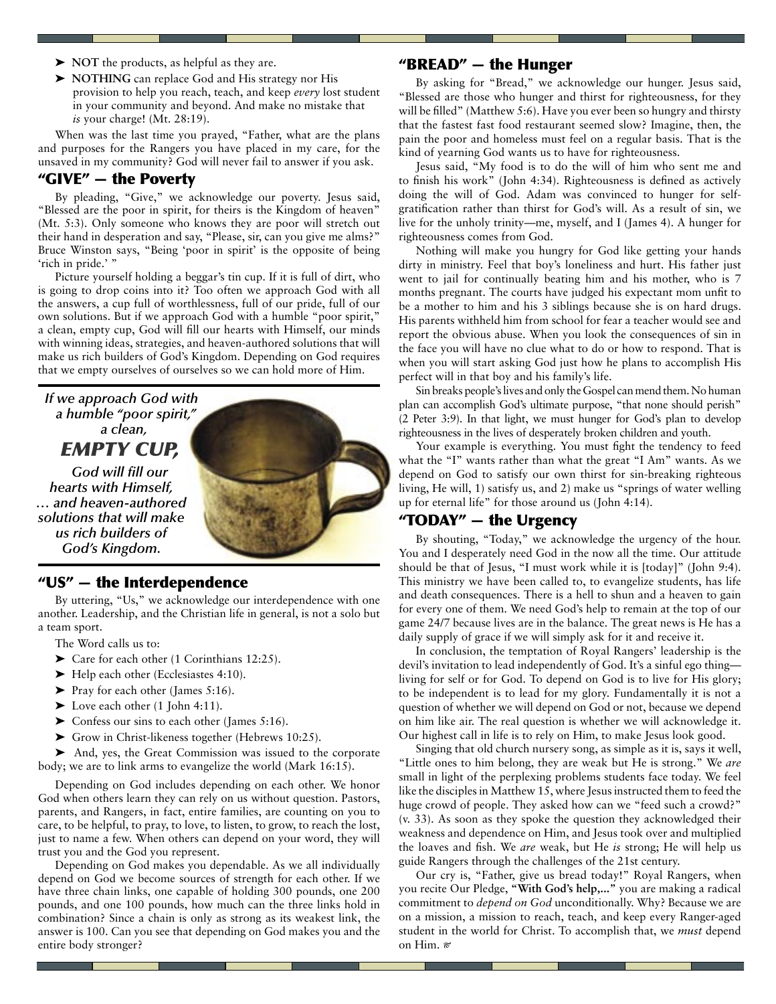- ➤ **NOT** the products, as helpful as they are.
- ➤ **NOTHING** can replace God and His strategy nor His provision to help you reach, teach, and keep *every* lost student in your community and beyond. And make no mistake that *is* your charge! (Mt. 28:19).

When was the last time you prayed, "Father, what are the plans and purposes for the Rangers you have placed in my care, for the unsaved in my community? God will never fail to answer if you ask.

## "GIVE" — the Poverty

By pleading, "Give," we acknowledge our poverty. Jesus said, "Blessed are the poor in spirit, for theirs is the Kingdom of heaven" (Mt. 5:3). Only someone who knows they are poor will stretch out their hand in desperation and say, "Please, sir, can you give me alms?" Bruce Winston says, "Being 'poor in spirit' is the opposite of being 'rich in pride.' "

Picture yourself holding a beggar's tin cup. If it is full of dirt, who is going to drop coins into it? Too often we approach God with all the answers, a cup full of worthlessness, full of our pride, full of our own solutions. But if we approach God with a humble "poor spirit," a clean, empty cup, God will fill our hearts with Himself, our minds with winning ideas, strategies, and heaven-authored solutions that will make us rich builders of God's Kingdom. Depending on God requires that we empty ourselves of ourselves so we can hold more of Him.

*If we approach God with a humble "poor spirit," a clean, EMPTY CUP,* 

*God will fill our hearts with Himself, … and heaven-authored solutions that will make us rich builders of God's Kingdom.*

### "US" — the Interdependence

By uttering, "Us," we acknowledge our interdependence with one another. Leadership, and the Christian life in general, is not a solo but a team sport.

- The Word calls us to:
- ➤ Care for each other (1 Corinthians 12:25).
- ➤ Help each other (Ecclesiastes 4:10).
- ➤ Pray for each other (James 5:16).
- $\blacktriangleright$  Love each other (1 John 4:11).
- $\blacktriangleright$  Confess our sins to each other (James 5:16).
- ➤ Grow in Christ-likeness together (Hebrews 10:25).

➤ And, yes, the Great Commission was issued to the corporate body; we are to link arms to evangelize the world (Mark 16:15).

Depending on God includes depending on each other. We honor God when others learn they can rely on us without question. Pastors, parents, and Rangers, in fact, entire families, are counting on you to care, to be helpful, to pray, to love, to listen, to grow, to reach the lost, just to name a few. When others can depend on your word, they will trust you and the God you represent.

Depending on God makes you dependable. As we all individually depend on God we become sources of strength for each other. If we have three chain links, one capable of holding 300 pounds, one 200 pounds, and one 100 pounds, how much can the three links hold in combination? Since a chain is only as strong as its weakest link, the answer is 100. Can you see that depending on God makes you and the entire body stronger?

## "BREAD" — the Hunger

By asking for "Bread," we acknowledge our hunger. Jesus said, "Blessed are those who hunger and thirst for righteousness, for they will be filled" (Matthew 5:6). Have you ever been so hungry and thirsty that the fastest fast food restaurant seemed slow? Imagine, then, the pain the poor and homeless must feel on a regular basis. That is the kind of yearning God wants us to have for righteousness.

Jesus said, "My food is to do the will of him who sent me and to finish his work" (John 4:34). Righteousness is defined as actively doing the will of God. Adam was convinced to hunger for selfgratification rather than thirst for God's will. As a result of sin, we live for the unholy trinity—me, myself, and I (James 4). A hunger for righteousness comes from God.

Nothing will make you hungry for God like getting your hands dirty in ministry. Feel that boy's loneliness and hurt. His father just went to jail for continually beating him and his mother, who is 7 months pregnant. The courts have judged his expectant mom unfit to be a mother to him and his 3 siblings because she is on hard drugs. His parents withheld him from school for fear a teacher would see and report the obvious abuse. When you look the consequences of sin in the face you will have no clue what to do or how to respond. That is when you will start asking God just how he plans to accomplish His perfect will in that boy and his family's life.

Sin breaks people's lives and only the Gospel can mend them. No human plan can accomplish God's ultimate purpose, "that none should perish" (2 Peter 3:9). In that light, we must hunger for God's plan to develop righteousness in the lives of desperately broken children and youth.

Your example is everything. You must fight the tendency to feed what the "I" wants rather than what the great "I Am" wants. As we depend on God to satisfy our own thirst for sin-breaking righteous living, He will, 1) satisfy us, and 2) make us "springs of water welling up for eternal life" for those around us (John 4:14).

## "TODAY" — the Urgency

By shouting, "Today," we acknowledge the urgency of the hour. You and I desperately need God in the now all the time. Our attitude should be that of Jesus, "I must work while it is [today]" (John 9:4). This ministry we have been called to, to evangelize students, has life and death consequences. There is a hell to shun and a heaven to gain for every one of them. We need God's help to remain at the top of our game 24/7 because lives are in the balance. The great news is He has a daily supply of grace if we will simply ask for it and receive it.

In conclusion, the temptation of Royal Rangers' leadership is the devil's invitation to lead independently of God. It's a sinful ego thing living for self or for God. To depend on God is to live for His glory; to be independent is to lead for my glory. Fundamentally it is not a question of whether we will depend on God or not, because we depend on him like air. The real question is whether we will acknowledge it. Our highest call in life is to rely on Him, to make Jesus look good.

Singing that old church nursery song, as simple as it is, says it well, "Little ones to him belong, they are weak but He is strong." We *are* small in light of the perplexing problems students face today. We feel like the disciples in Matthew 15, where Jesus instructed them to feed the huge crowd of people. They asked how can we "feed such a crowd?" (v. 33). As soon as they spoke the question they acknowledged their weakness and dependence on Him, and Jesus took over and multiplied the loaves and fish. We *are* weak, but He *is* strong; He will help us guide Rangers through the challenges of the 21st century.

Our cry is, "Father, give us bread today!" Royal Rangers, when you recite Our Pledge, **"With God's help,..."** you are making a radical commitment to *depend on God* unconditionally. Why? Because we are on a mission, a mission to reach, teach, and keep every Ranger-aged student in the world for Christ. To accomplish that, we *must* depend on Him.

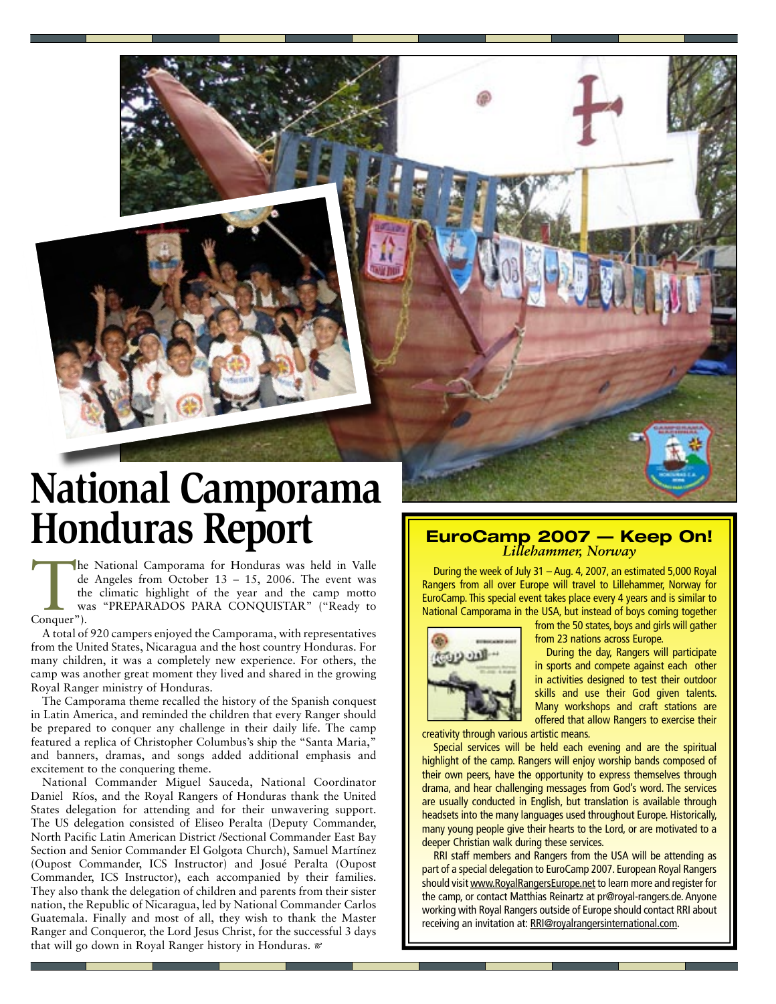

The National Camporama for Honduras was held in Valle<br>de Angeles from October 13 – 15, 2006. The event was<br>the climatic highlight of the year and the camp motto<br>was "PREPARADOS PARA CONQUISTAR" ("Ready to<br>Conquer"). de Angeles from October 13 – 15, 2006. The event was the climatic highlight of the year and the camp motto was "PREPARADOS PARA CONQUISTAR" ("Ready to Conquer").

A total of 920 campers enjoyed the Camporama, with representatives from the United States, Nicaragua and the host country Honduras. For many children, it was a completely new experience. For others, the camp was another great moment they lived and shared in the growing Royal Ranger ministry of Honduras.

The Camporama theme recalled the history of the Spanish conquest in Latin America, and reminded the children that every Ranger should be prepared to conquer any challenge in their daily life. The camp featured a replica of Christopher Columbus's ship the "Santa Maria," and banners, dramas, and songs added additional emphasis and excitement to the conquering theme.

National Commander Miguel Sauceda, National Coordinator Daniel Ríos, and the Royal Rangers of Honduras thank the United States delegation for attending and for their unwavering support. The US delegation consisted of Eliseo Peralta (Deputy Commander, North Pacific Latin American District /Sectional Commander East Bay Section and Senior Commander El Golgota Church), Samuel Martínez (Oupost Commander, ICS Instructor) and Josué Peralta (Oupost Commander, ICS Instructor), each accompanied by their families. They also thank the delegation of children and parents from their sister nation, the Republic of Nicaragua, led by National Commander Carlos Guatemala. Finally and most of all, they wish to thank the Master Ranger and Conqueror, the Lord Jesus Christ, for the successful 3 days that will go down in Royal Ranger history in Honduras.

During the week of July 31 – Aug. 4, 2007, an estimated 5,000 Royal Rangers from all over Europe will travel to Lillehammer, Norway for EuroCamp. This special event takes place every 4 years and is similar to National Camporama in the USA, but instead of boys coming together



from the 50 states, boys and girls will gather from 23 nations across Europe.

During the day, Rangers will participate in sports and compete against each other in activities designed to test their outdoor skills and use their God given talents. Many workshops and craft stations are offered that allow Rangers to exercise their

creativity through various artistic means.

Special services will be held each evening and are the spiritual highlight of the camp. Rangers will enjoy worship bands composed of their own peers, have the opportunity to express themselves through drama, and hear challenging messages from God's word. The services are usually conducted in English, but translation is available through headsets into the many languages used throughout Europe. Historically, many young people give their hearts to the Lord, or are motivated to a deeper Christian walk during these services.

RRI staff members and Rangers from the USA will be attending as part of a special delegation to EuroCamp 2007. European Royal Rangers should visit www.RoyalRangersEurope.net to learn more and register for the camp, or contact Matthias Reinartz at pr@royal-rangers.de. Anyone working with Royal Rangers outside of Europe should contact RRI about receiving an invitation at: RRI@royalrangersinternational.com.